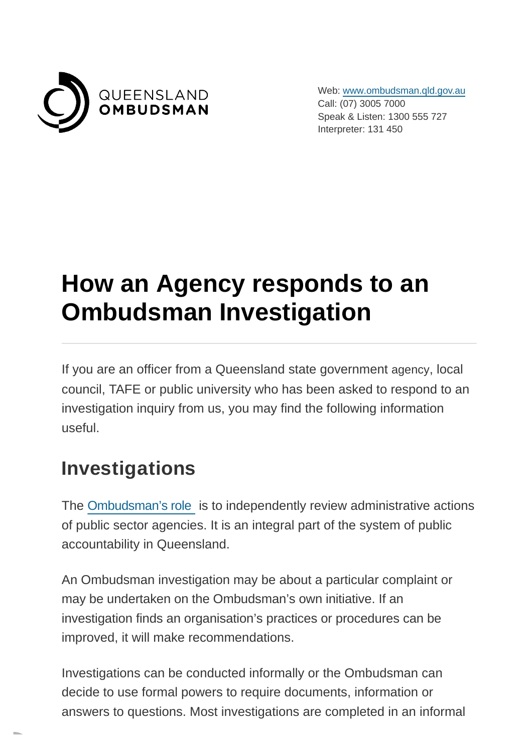

Web: [www.ombudsman.qld.gov.au](https://www.ombudsman.qld.gov.au/) Call: (07) 3005 7000 Speak & Listen: 1300 555 727 Interpreter: 131 450

# **How an Agency responds to an Ombudsman Investigation**

If you are an officer from a Queensland state government agency, local council, TAFE or public university who has been asked to respond to an investigation inquiry from us, you may find the following information useful.

#### **Investigations**

The [Ombudsman's role](https://www.ombudsman.qld.gov.au/what-we-do/role-of-the-ombudsman/role-of-the-ombudsman) is to independently review administrative actions of public sector agencies. It is an integral part of the system of public accountability in Queensland.

An Ombudsman investigation may be about a particular complaint or may be undertaken on the Ombudsman's own initiative. If an investigation finds an organisation's practices or procedures can be improved, it will make recommendations.

Investigations can be conducted informally or the Ombudsman can decide to use formal powers to require documents, information or answers to questions. Most investigations are completed in an informal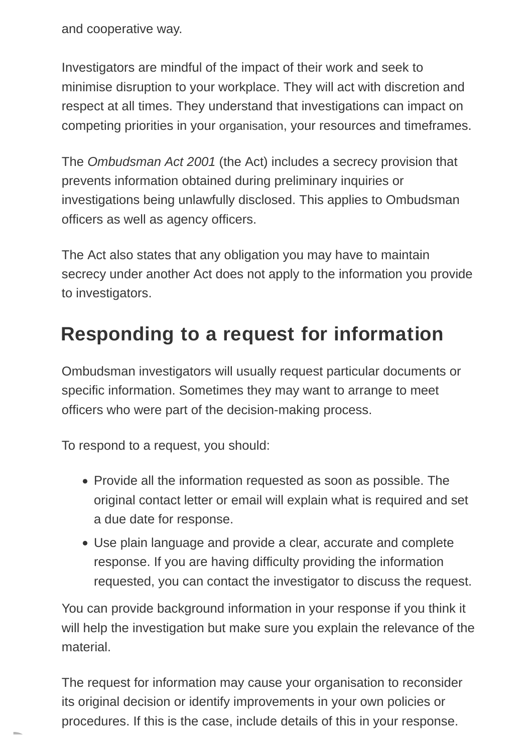and cooperative way.

Investigators are mindful of the impact of their work and seek to minimise disruption to your workplace. They will act with discretion and respect at all times. They understand that investigations can impact on competing priorities in your organisation, your resources and timeframes.

The Ombudsman Act 2001 (the Act) includes a secrecy provision that prevents information obtained during preliminary inquiries or investigations being unlawfully disclosed. This applies to Ombudsman officers as well as agency officers.

The Act also states that any obligation you may have to maintain secrecy under another Act does not apply to the information you provide to investigators.

### **Responding to a request for information**

Ombudsman investigators will usually request particular documents or specific information. Sometimes they may want to arrange to meet officers who were part of the decision-making process.

To respond to a request, you should:

- Provide all the information requested as soon as possible. The original contact letter or email will explain what is required and set a due date for response.
- Use plain language and provide a clear, accurate and complete response. If you are having difficulty providing the information requested, you can contact the investigator to discuss the request.

You can provide background information in your response if you think it will help the investigation but make sure you explain the relevance of the material.

The request for information may cause your organisation to reconsider its original decision or identify improvements in your own policies or procedures. If this is the case, include details of this in your response.